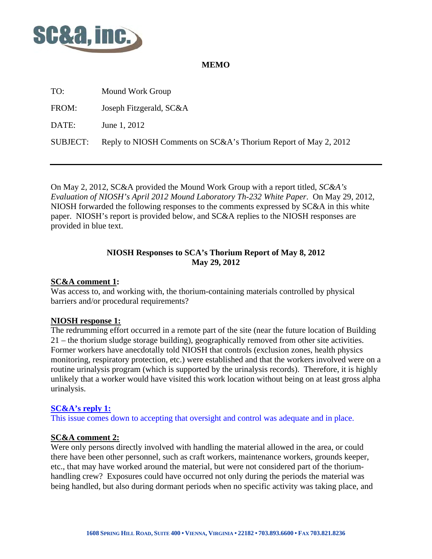

## **MEMO**

| TO:             | Mound Work Group                                                |
|-----------------|-----------------------------------------------------------------|
| FROM:           | Joseph Fitzgerald, SC&A                                         |
| DATE:           | June 1, 2012                                                    |
| <b>SUBJECT:</b> | Reply to NIOSH Comments on SC&A's Thorium Report of May 2, 2012 |

On May 2, 2012, SC&A provided the Mound Work Group with a report titled, *SC&A's Evaluation of NIOSH's April 2012 Mound Laboratory Th-232 White Paper*. On May 29, 2012, NIOSH forwarded the following responses to the comments expressed by SC&A in this white paper. NIOSH's report is provided below, and SC&A replies to the NIOSH responses are provided in blue text.

## **NIOSH Responses to SCA's Thorium Report of May 8, 2012 May 29, 2012**

## **SC&A comment 1:**

Was access to, and working with, the thorium-containing materials controlled by physical barriers and/or procedural requirements?

# **NIOSH response 1:**

The redrumming effort occurred in a remote part of the site (near the future location of Building 21 – the thorium sludge storage building), geographically removed from other site activities. Former workers have anecdotally told NIOSH that controls (exclusion zones, health physics monitoring, respiratory protection, etc.) were established and that the workers involved were on a routine urinalysis program (which is supported by the urinalysis records). Therefore, it is highly unlikely that a worker would have visited this work location without being on at least gross alpha urinalysis.

# **SC&A's reply 1:**

This issue comes down to accepting that oversight and control was adequate and in place.

### **SC&A comment 2:**

Were only persons directly involved with handling the material allowed in the area, or could there have been other personnel, such as craft workers, maintenance workers, grounds keeper, etc., that may have worked around the material, but were not considered part of the thoriumhandling crew? Exposures could have occurred not only during the periods the material was being handled, but also during dormant periods when no specific activity was taking place, and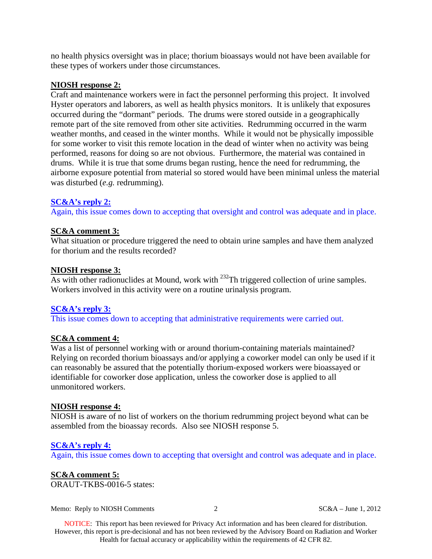no health physics oversight was in place; thorium bioassays would not have been available for these types of workers under those circumstances.

#### **NIOSH response 2:**

Craft and maintenance workers were in fact the personnel performing this project. It involved Hyster operators and laborers, as well as health physics monitors. It is unlikely that exposures occurred during the "dormant" periods. The drums were stored outside in a geographically remote part of the site removed from other site activities. Redrumming occurred in the warm weather months, and ceased in the winter months. While it would not be physically impossible for some worker to visit this remote location in the dead of winter when no activity was being performed, reasons for doing so are not obvious. Furthermore, the material was contained in drums. While it is true that some drums began rusting, hence the need for redrumming, the airborne exposure potential from material so stored would have been minimal unless the material was disturbed (*e.g.* redrumming).

#### **SC&A's reply 2:**

Again, this issue comes down to accepting that oversight and control was adequate and in place.

#### **SC&A comment 3:**

What situation or procedure triggered the need to obtain urine samples and have them analyzed for thorium and the results recorded?

#### **NIOSH response 3:**

As with other radionuclides at Mound, work with <sup>232</sup>Th triggered collection of urine samples. Workers involved in this activity were on a routine urinalysis program.

#### **SC&A's reply 3:**

This issue comes down to accepting that administrative requirements were carried out.

### **SC&A comment 4:**

Was a list of personnel working with or around thorium-containing materials maintained? Relying on recorded thorium bioassays and/or applying a coworker model can only be used if it can reasonably be assured that the potentially thorium-exposed workers were bioassayed or identifiable for coworker dose application, unless the coworker dose is applied to all unmonitored workers.

### **NIOSH response 4:**

NIOSH is aware of no list of workers on the thorium redrumming project beyond what can be assembled from the bioassay records. Also see NIOSH response 5.

#### **SC&A's reply 4:**

Again, this issue comes down to accepting that oversight and control was adequate and in place.

#### **SC&A comment 5:**

ORAUT-TKBS-0016-5 states:

Memo: Reply to NIOSH Comments 2 SC&A – June 1, 2012

NOTICE: This report has been reviewed for Privacy Act information and has been cleared for distribution. However, this report is pre-decisional and has not been reviewed by the Advisory Board on Radiation and Worker Health for factual accuracy or applicability within the requirements of 42 CFR 82.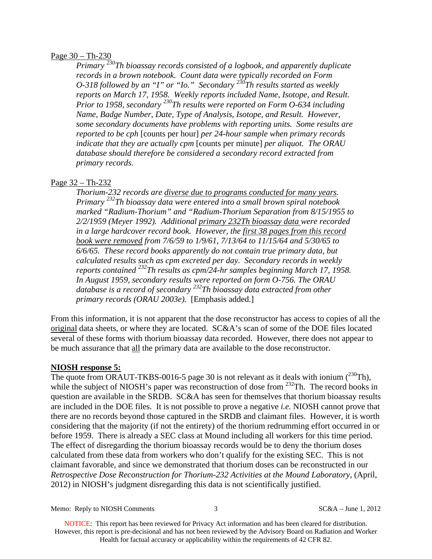#### Page 30 – Th-230

*Primary 230Th bioassay records consisted of a logbook, and apparently duplicate records in a brown notebook. Count data were typically recorded on Form O-318 followed by an "I" or "Io." Secondary*  $2^{36}$ Th results started as weekly *reports on March 17, 1958. Weekly reports included Name, Isotope, and Result. Prior to 1958, secondary 230Th results were reported on Form O-634 including Name, Badge Number, Date, Type of Analysis, Isotope, and Result. However, some secondary documents have problems with reporting units. Some results are reported to be cph* [counts per hour] *per 24-hour sample when primary records indicate that they are actually cpm* [counts per minute] *per aliquot. The ORAU database should therefore be considered a secondary record extracted from primary records.* 

### Page 32 – Th-232

*Thorium-232 records are diverse due to programs conducted for many years. Primary 232Th bioassay data were entered into a small brown spiral notebook marked "Radium-Thorium" and "Radium-Thorium Separation from 8/15/1955 to 2/2/1959 (Meyer 1992). Additional primary 232Th bioassay data were recorded in a large hardcover record book. However, the first 38 pages from this record book were removed from 7/6/59 to 1/9/61, 7/13/64 to 11/15/64 and 5/30/65 to 6/6/65. These record books apparently do not contain true primary data, but calculated results such as cpm excreted per day. Secondary records in weekly reports contained 232Th results as cpm/24-hr samples beginning March 17, 1958. In August 1959, secondary results were reported on form O-756. The ORAU database is a record of secondary 232Th bioassay data extracted from other primary records (ORAU 2003e).* [Emphasis added.]

From this information, it is not apparent that the dose reconstructor has access to copies of all the original data sheets, or where they are located. SC&A's scan of some of the DOE files located several of these forms with thorium bioassay data recorded. However, there does not appear to be much assurance that all the primary data are available to the dose reconstructor.

#### **NIOSH response 5:**

The quote from ORAUT-TKBS-0016-5 page 30 is not relevant as it deals with ionium  $(^{230}Th)$ , while the subject of NIOSH's paper was reconstruction of dose from <sup>232</sup>Th. The record books in question are available in the SRDB. SC&A has seen for themselves that thorium bioassay results are included in the DOE files. It is not possible to prove a negative *i.e.* NIOSH cannot prove that there are no records beyond those captured in the SRDB and claimant files. However, it is worth considering that the majority (if not the entirety) of the thorium redrumming effort occurred in or before 1959. There is already a SEC class at Mound including all workers for this time period. The effect of disregarding the thorium bioassay records would be to deny the thorium doses calculated from these data from workers who don't qualify for the existing SEC. This is not claimant favorable, and since we demonstrated that thorium doses can be reconstructed in our *Retrospective Dose Reconstruction for Thorium-232 Activities at the Mound Laboratory*, (April, 2012) in NIOSH's judgment disregarding this data is not scientifically justified.

Memo: Reply to NIOSH Comments 3 SC&A – June 1, 2012

NOTICE: This report has been reviewed for Privacy Act information and has been cleared for distribution. However, this report is pre-decisional and has not been reviewed by the Advisory Board on Radiation and Worker Health for factual accuracy or applicability within the requirements of 42 CFR 82.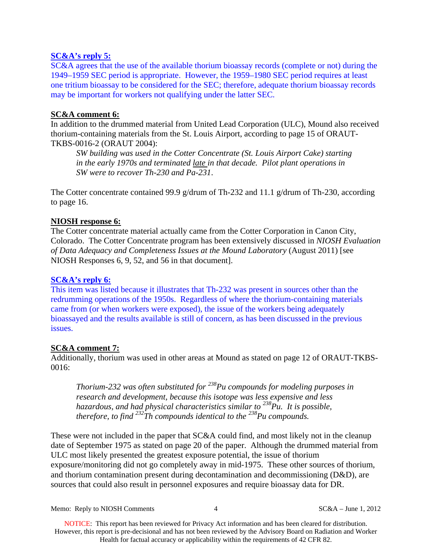## **SC&A's reply 5:**

SC&A agrees that the use of the available thorium bioassay records (complete or not) during the 1949–1959 SEC period is appropriate. However, the 1959–1980 SEC period requires at least one tritium bioassay to be considered for the SEC; therefore, adequate thorium bioassay records may be important for workers not qualifying under the latter SEC.

## **SC&A comment 6:**

In addition to the drummed material from United Lead Corporation (ULC), Mound also received thorium-containing materials from the St. Louis Airport, according to page 15 of ORAUT-TKBS-0016-2 (ORAUT 2004):

*SW building was used in the Cotter Concentrate (St. Louis Airport Cake) starting in the early 1970s and terminated late in that decade. Pilot plant operations in SW were to recover Th-230 and Pa-231*.

The Cotter concentrate contained 99.9 g/drum of Th-232 and 11.1 g/drum of Th-230, according to page 16.

## **NIOSH response 6:**

The Cotter concentrate material actually came from the Cotter Corporation in Canon City, Colorado. The Cotter Concentrate program has been extensively discussed in *NIOSH Evaluation of Data Adequacy and Completeness Issues at the Mound Laboratory* (August 2011) [see NIOSH Responses 6, 9, 52, and 56 in that document].

## **SC&A's reply 6:**

This item was listed because it illustrates that Th-232 was present in sources other than the redrumming operations of the 1950s. Regardless of where the thorium-containing materials came from (or when workers were exposed), the issue of the workers being adequately bioassayed and the results available is still of concern, as has been discussed in the previous issues.

### **SC&A comment 7:**

Additionally, thorium was used in other areas at Mound as stated on page 12 of ORAUT-TKBS-0016:

*Thorium-232 was often substituted for 238Pu compounds for modeling purposes in research and development, because this isotope was less expensive and less hazardous, and had physical characteristics similar to 238Pu. It is possible, therefore, to find <sup>232</sup>Th compounds identical to the <sup>238</sup>Pu compounds.* 

These were not included in the paper that SC&A could find, and most likely not in the cleanup date of September 1975 as stated on page 20 of the paper. Although the drummed material from ULC most likely presented the greatest exposure potential, the issue of thorium exposure/monitoring did not go completely away in mid-1975. These other sources of thorium, and thorium contamination present during decontamination and decommissioning  $(D&D)$ , are sources that could also result in personnel exposures and require bioassay data for DR.

Memo: Reply to NIOSH Comments 4 SC&A – June 1, 2012

NOTICE: This report has been reviewed for Privacy Act information and has been cleared for distribution. However, this report is pre-decisional and has not been reviewed by the Advisory Board on Radiation and Worker Health for factual accuracy or applicability within the requirements of 42 CFR 82.